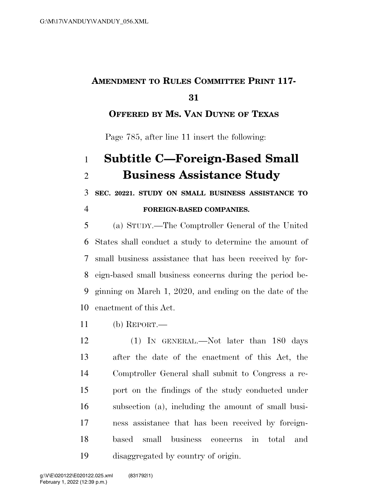## **AMENDMENT TO RULES COMMITTEE PRINT 117-**

### **OFFERED BY MS. VAN DUYNE OF TEXAS**

Page 785, after line 11 insert the following:

# **Subtitle C—Foreign-Based Small Business Assistance Study**

**SEC. 20221. STUDY ON SMALL BUSINESS ASSISTANCE TO** 

#### **FOREIGN-BASED COMPANIES.**

 (a) STUDY.—The Comptroller General of the United States shall conduct a study to determine the amount of small business assistance that has been received by for- eign-based small business concerns during the period be- ginning on March 1, 2020, and ending on the date of the enactment of this Act.

(b) REPORT.—

 (1) IN GENERAL.—Not later than 180 days after the date of the enactment of this Act, the Comptroller General shall submit to Congress a re- port on the findings of the study conducted under subsection (a), including the amount of small busi- ness assistance that has been received by foreign- based small business concerns in total and disaggregated by country of origin.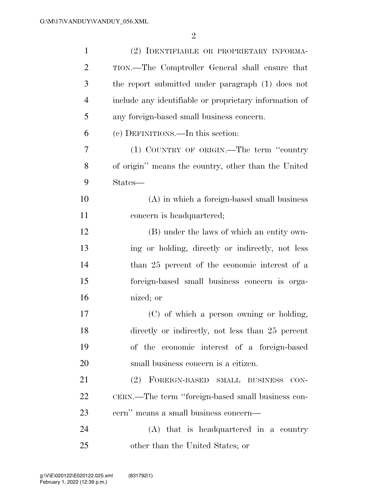| $\mathbf{1}$   | (2) IDENTIFIABLE OR PROPRIETARY INFORMA-               |
|----------------|--------------------------------------------------------|
| $\overline{2}$ | TION.—The Comptroller General shall ensure that        |
| 3              | the report submitted under paragraph (1) does not      |
| $\overline{4}$ | include any identifiable or proprietary information of |
| 5              | any foreign-based small business concern.              |
| 6              | (c) DEFINITIONS.—In this section:                      |
| 7              | (1) COUNTRY OF ORIGIN.—The term "country"              |
| 8              | of origin" means the country, other than the United    |
| 9              | States—                                                |
| 10             | $(A)$ in which a foreign-based small business          |
| 11             | concern is headquartered;                              |
| 12             | (B) under the laws of which an entity own-             |
| 13             | ing or holding, directly or indirectly, not less       |
| 14             | than 25 percent of the economic interest of a          |
| 15             | foreign-based small business concern is orga-          |
| 16             | nized; or                                              |
| 17             | (C) of which a person owning or holding,               |
| 18             | directly or indirectly, not less than 25 percent       |
| 19             | of the economic interest of a foreign-based            |
| 20             | small business concern is a citizen.                   |
| 21             | (2) FOREIGN-BASED SMALL BUSINESS<br>$CON-$             |
| 22             | CERN.—The term "foreign-based small business con-      |
| 23             | cern" means a small business concern-                  |
| 24             | (A) that is headquartered in a country                 |
| 25             | other than the United States; or                       |